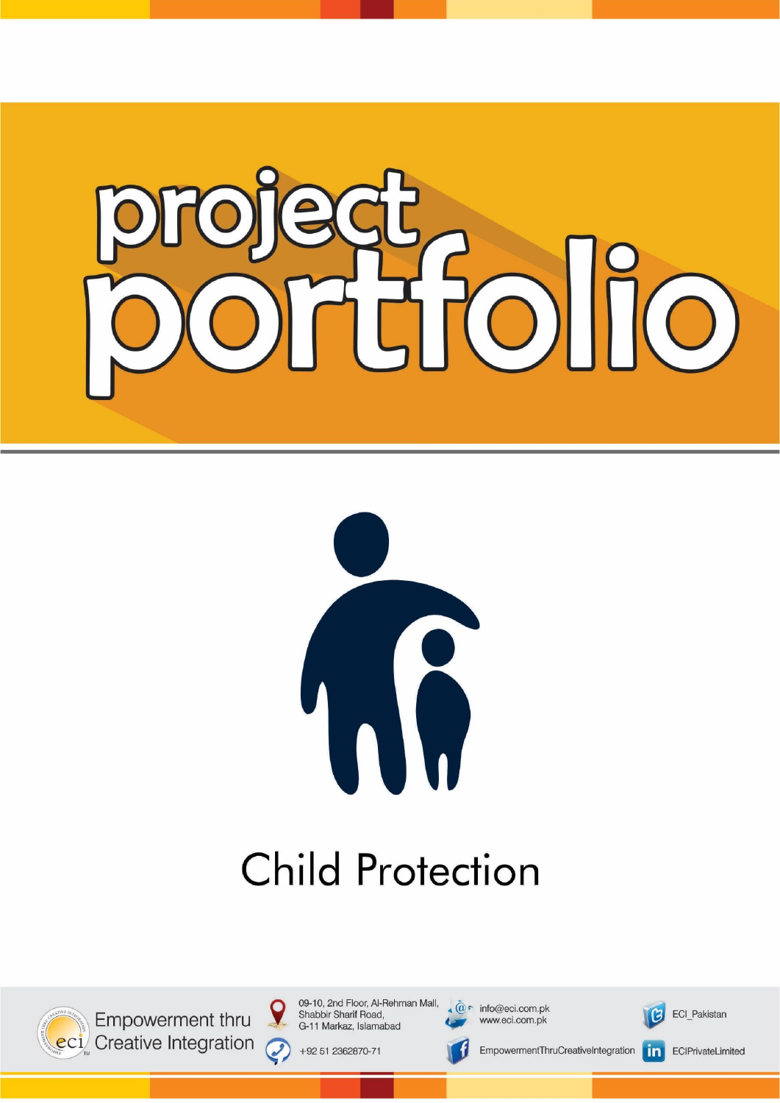



# **Child Protection**



Empowerment thru eci Creative Integration 09-10, 2nd Floor, Al-Rehman Mall, Shabbir Sharif Road, G-11 Markaz, Islamabad

+92 51 2362870-71



www.eci.com.pk

EmpowermentThruCreativeIntegration



ECI Pakistan

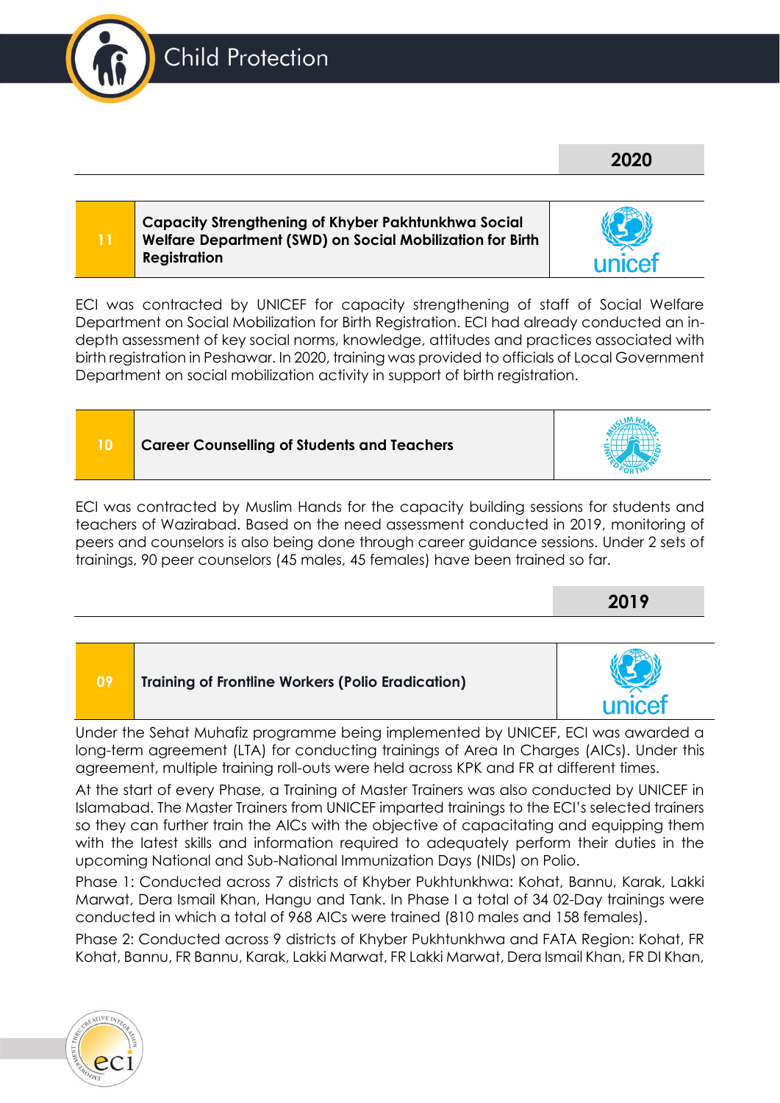

**10 Career Counselling of Students and Teachers**

ECI was contracted by UNICEF for capacity strengthening of staff of Social Welfare Department on Social Mobilization for Birth Registration. ECI had already conducted an indepth assessment of key social norms, knowledge, attitudes and practices associated with birth registration in Peshawar. In 2020, training was provided to officials of Local Government Department on social mobilization activity in support of birth registration.



**09 Training of Frontline Workers (Polio Eradication)**

Under the Sehat Muhafiz programme being implemented by UNICEF, ECI was awarded a long-term agreement (LTA) for conducting trainings of Area In Charges (AICs). Under this agreement, multiple training roll-outs were held across KPK and FR at different times.

At the start of every Phase, a Training of Master Trainers was also conducted by UNICEF in Islamabad. The Master Trainers from UNICEF imparted trainings to the ECI's selected trainers so they can further train the AICs with the objective of capacitating and equipping them with the latest skills and information required to adequately perform their duties in the upcoming National and Sub-National Immunization Days (NIDs) on Polio.

Phase 1: Conducted across 7 districts of Khyber Pukhtunkhwa: Kohat, Bannu, Karak, Lakki Marwat, Dera Ismail Khan, Hangu and Tank. In Phase I a total of 34 02-Day trainings were conducted in which a total of 968 AICs were trained (810 males and 158 females).

Phase 2: Conducted across 9 districts of Khyber Pukhtunkhwa and FATA Region: Kohat, FR Kohat, Bannu, FR Bannu, Karak, Lakki Marwat, FR Lakki Marwat, Dera Ismail Khan, FR DI Khan,





# **2020**





**2019**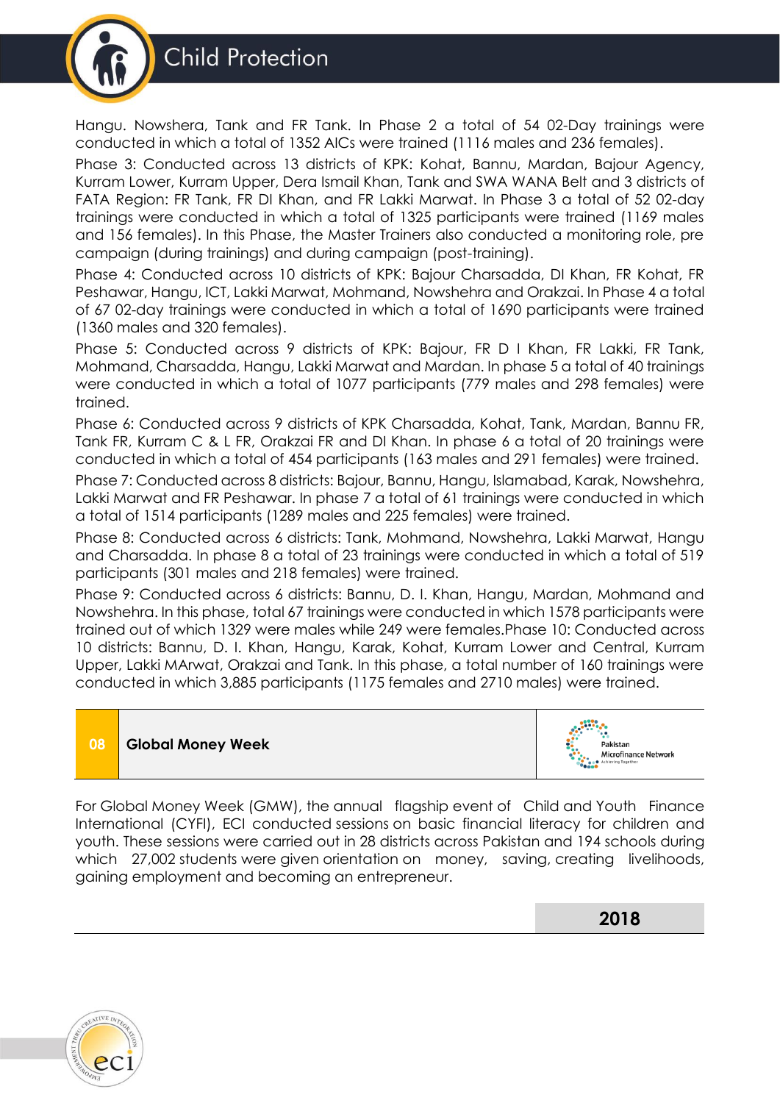



Hangu. Nowshera, Tank and FR Tank. In Phase 2 a total of 54 02-Day trainings were conducted in which a total of 1352 AICs were trained (1116 males and 236 females).

Phase 3: Conducted across 13 districts of KPK: Kohat, Bannu, Mardan, Bajour Agency, Kurram Lower, Kurram Upper, Dera Ismail Khan, Tank and SWA WANA Belt and 3 districts of FATA Region: FR Tank, FR DI Khan, and FR Lakki Marwat. In Phase 3 a total of 52 02-day trainings were conducted in which a total of 1325 participants were trained (1169 males and 156 females). In this Phase, the Master Trainers also conducted a monitoring role, pre campaign (during trainings) and during campaign (post-training).

Phase 4: Conducted across 10 districts of KPK: Bajour Charsadda, DI Khan, FR Kohat, FR Peshawar, Hangu, ICT, Lakki Marwat, Mohmand, Nowshehra and Orakzai. In Phase 4 a total of 67 02-day trainings were conducted in which a total of 1690 participants were trained (1360 males and 320 females).

Phase 5: Conducted across 9 districts of KPK: Bajour, FR D I Khan, FR Lakki, FR Tank, Mohmand, Charsadda, Hangu, Lakki Marwat and Mardan. In phase 5 a total of 40 trainings were conducted in which a total of 1077 participants (779 males and 298 females) were trained.

Phase 6: Conducted across 9 districts of KPK Charsadda, Kohat, Tank, Mardan, Bannu FR, Tank FR, Kurram C & L FR, Orakzai FR and DI Khan. In phase 6 a total of 20 trainings were conducted in which a total of 454 participants (163 males and 291 females) were trained.

Phase 7: Conducted across 8 districts: Bajour, Bannu, Hangu, Islamabad, Karak, Nowshehra, Lakki Marwat and FR Peshawar. In phase 7 a total of 61 trainings were conducted in which a total of 1514 participants (1289 males and 225 females) were trained.

Phase 8: Conducted across 6 districts: Tank, Mohmand, Nowshehra, Lakki Marwat, Hangu and Charsadda. In phase 8 a total of 23 trainings were conducted in which a total of 519 participants (301 males and 218 females) were trained.

Phase 9: Conducted across 6 districts: Bannu, D. I. Khan, Hangu, Mardan, Mohmand and Nowshehra. In this phase, total 67 trainings were conducted in which 1578 participants were trained out of which 1329 were males while 249 were females.Phase 10: Conducted across 10 districts: Bannu, D. I. Khan, Hangu, Karak, Kohat, Kurram Lower and Central, Kurram Upper, Lakki MArwat, Orakzai and Tank. In this phase, a total number of 160 trainings were conducted in which 3,885 participants (1175 females and 2710 males) were trained.

# **08 Global Money Week**



For Global Money Week (GMW), the annual flagship event of Child and Youth Finance International (CYFI), ECI conducted sessions on basic financial literacy for children and youth. These sessions were carried out in 28 districts across Pakistan and 194 schools during which 27,002 students were given orientation on money, saving, creating livelihoods, gaining employment and becoming an entrepreneur.

**2018**

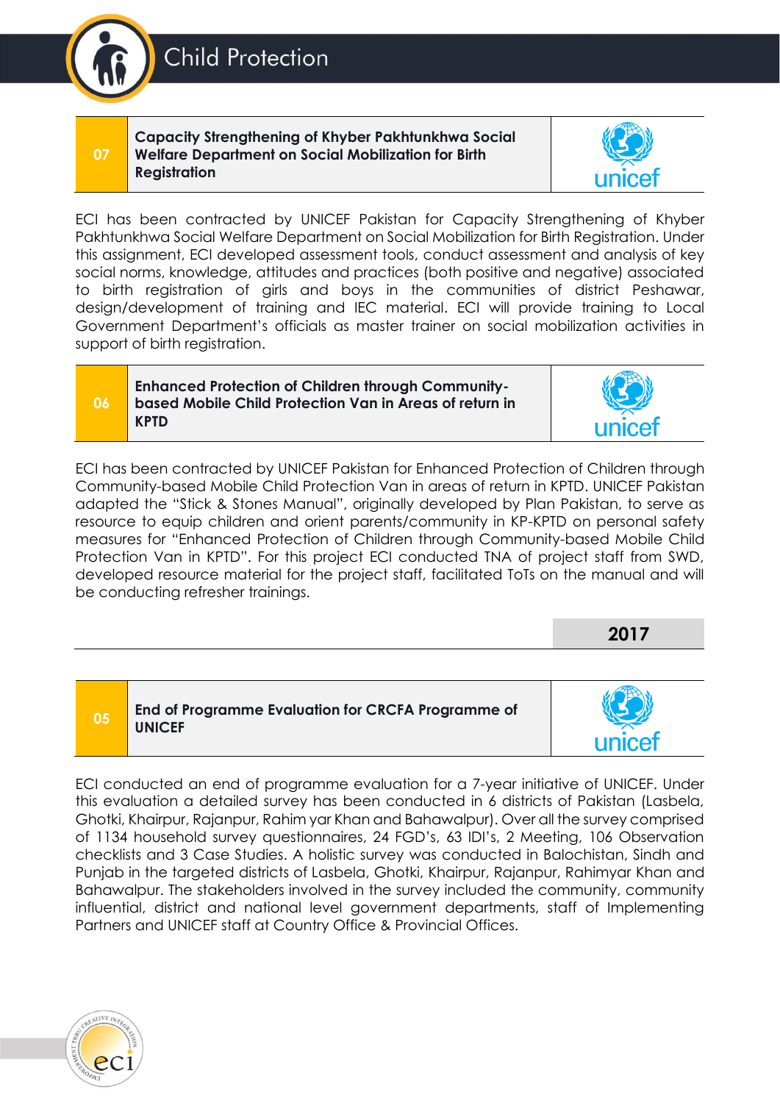**Capacity Strengthening of Khyber Pakhtunkhwa Social Welfare Department on Social Mobilization for Birth Registration**



#### **Enhanced Protection of Children through Communitybased Mobile Child Protection Van in Areas of return in KPTD**

ECI has been contracted by UNICEF Pakistan for Enhanced Protection of Children through Community-based Mobile Child Protection Van in areas of return in KPTD. UNICEF Pakistan adapted the "Stick & Stones Manual", originally developed by Plan Pakistan, to serve as resource to equip children and orient parents/community in KP-KPTD on personal safety measures for "Enhanced Protection of Children through Community-based Mobile Child Protection Van in KPTD". For this project ECI conducted TNA of project staff from SWD, developed resource material for the project staff, facilitated ToTs on the manual and will be conducting refresher trainings.

| 05 | End of Programme Evaluation for CRCFA Programme of<br><b>UNICEF</b> |        |
|----|---------------------------------------------------------------------|--------|
|    |                                                                     | unicet |

ECI conducted an end of programme evaluation for a 7-year initiative of UNICEF. Under this evaluation a detailed survey has been conducted in 6 districts of Pakistan (Lasbela, Ghotki, Khairpur, Rajanpur, Rahim yar Khan and Bahawalpur). Over all the survey comprised of 1134 household survey questionnaires, 24 FGD's, 63 IDI's, 2 Meeting, 106 Observation checklists and 3 Case Studies. A holistic survey was conducted in Balochistan, Sindh and Punjab in the targeted districts of Lasbela, Ghotki, Khairpur, Rajanpur, Rahimyar Khan and Bahawalpur. The stakeholders involved in the survey included the community, community influential, district and national level government departments, staff of Implementing Partners and UNICEF staff at Country Office & Provincial Offices.





**2017**



**Child Protection** 

**07**

**06**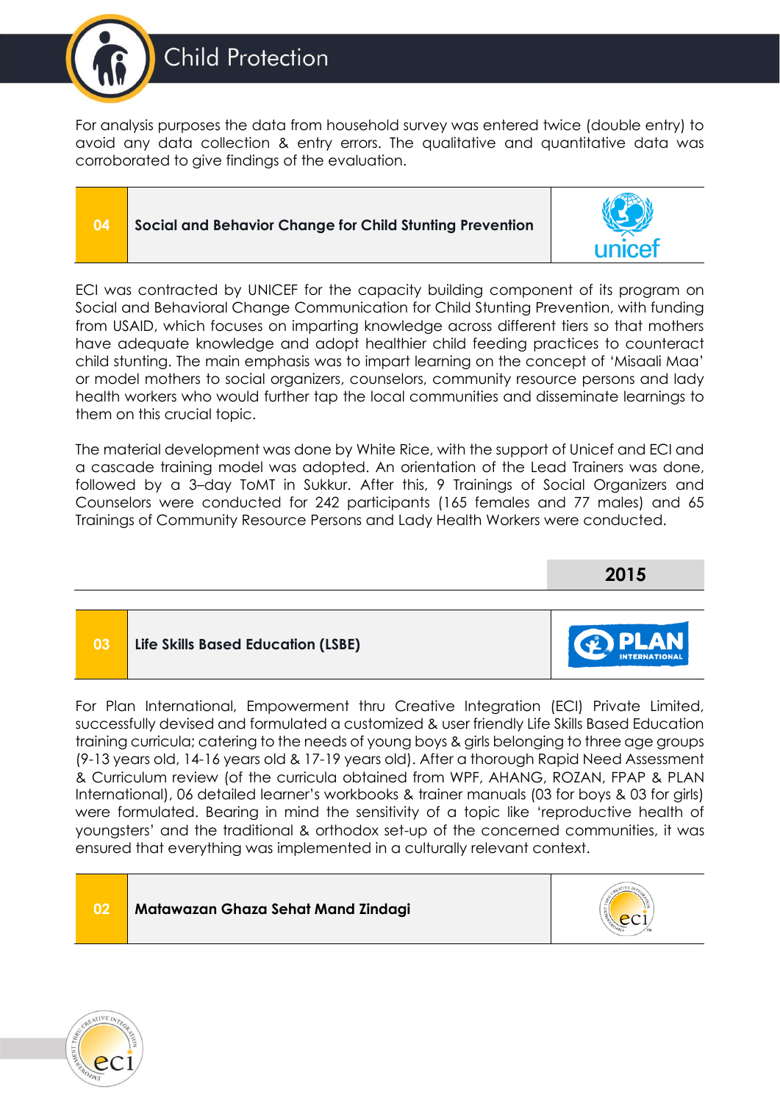

For analysis purposes the data from household survey was entered twice (double entry) to avoid any data collection & entry errors. The qualitative and quantitative data was corroborated to give findings of the evaluation.

### **04 Social and Behavior Change for Child Stunting Prevention**



ECI was contracted by UNICEF for the capacity building component of its program on Social and Behavioral Change Communication for Child Stunting Prevention, with funding from USAID, which focuses on imparting knowledge across different tiers so that mothers have adequate knowledge and adopt healthier child feeding practices to counteract child stunting. The main emphasis was to impart learning on the concept of 'Misaali Maa' or model mothers to social organizers, counselors, community resource persons and lady health workers who would further tap the local communities and disseminate learnings to them on this crucial topic.

The material development was done by White Rice, with the support of Unicef and ECI and a cascade training model was adopted. An orientation of the Lead Trainers was done, followed by a 3–day ToMT in Sukkur. After this, 9 Trainings of Social Organizers and Counselors were conducted for 242 participants (165 females and 77 males) and 65 Trainings of Community Resource Persons and Lady Health Workers were conducted.



For Plan International, Empowerment thru Creative Integration (ECI) Private Limited, successfully devised and formulated a customized & user friendly Life Skills Based Education training curricula; catering to the needs of young boys & girls belonging to three age groups (9-13 years old, 14-16 years old & 17-19 years old). After a thorough Rapid Need Assessment & Curriculum review (of the curricula obtained from WPF, AHANG, ROZAN, FPAP & PLAN International), 06 detailed learner's workbooks & trainer manuals (03 for boys & 03 for girls) were formulated. Bearing in mind the sensitivity of a topic like 'reproductive health of youngsters' and the traditional & orthodox set-up of the concerned communities, it was ensured that everything was implemented in a culturally relevant context.